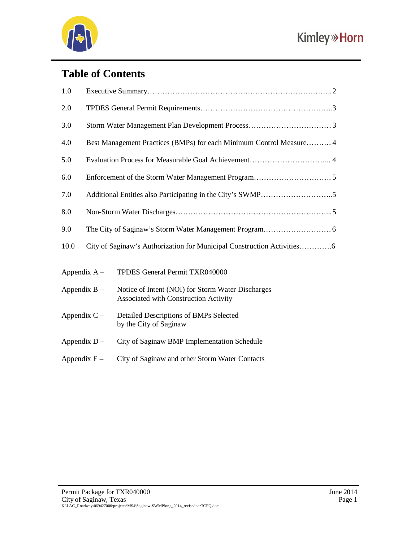

# **Table of Contents**

| 1.0            |                                                                     |                                                                                            |  |
|----------------|---------------------------------------------------------------------|--------------------------------------------------------------------------------------------|--|
| 2.0            |                                                                     |                                                                                            |  |
| 3.0            |                                                                     |                                                                                            |  |
| 4.0            | Best Management Practices (BMPs) for each Minimum Control Measure 4 |                                                                                            |  |
| 5.0            |                                                                     |                                                                                            |  |
| 6.0            |                                                                     |                                                                                            |  |
| 7.0            |                                                                     |                                                                                            |  |
| 8.0            |                                                                     |                                                                                            |  |
| 9.0            |                                                                     |                                                                                            |  |
| 10.0           |                                                                     |                                                                                            |  |
| Appendix $A -$ |                                                                     | TPDES General Permit TXR040000                                                             |  |
| Appendix $B -$ |                                                                     | Notice of Intent (NOI) for Storm Water Discharges<br>Associated with Construction Activity |  |
| Appendix $C -$ |                                                                     | Detailed Descriptions of BMPs Selected<br>by the City of Saginaw                           |  |
| Appendix D -   |                                                                     | City of Saginaw BMP Implementation Schedule                                                |  |
| Appendix $E -$ |                                                                     | City of Saginaw and other Storm Water Contacts                                             |  |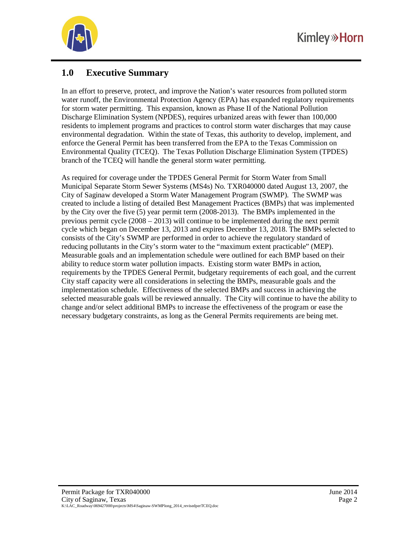

# **1.0 Executive Summary**

In an effort to preserve, protect, and improve the Nation's water resources from polluted storm water runoff, the Environmental Protection Agency (EPA) has expanded regulatory requirements for storm water permitting. This expansion, known as Phase II of the National Pollution Discharge Elimination System (NPDES), requires urbanized areas with fewer than 100,000 residents to implement programs and practices to control storm water discharges that may cause environmental degradation. Within the state of Texas, this authority to develop, implement, and enforce the General Permit has been transferred from the EPA to the Texas Commission on Environmental Quality (TCEQ). The Texas Pollution Discharge Elimination System (TPDES) branch of the TCEQ will handle the general storm water permitting.

As required for coverage under the TPDES General Permit for Storm Water from Small Municipal Separate Storm Sewer Systems (MS4s) No. TXR040000 dated August 13, 2007, the City of Saginaw developed a Storm Water Management Program (SWMP). The SWMP was created to include a listing of detailed Best Management Practices (BMPs) that was implemented by the City over the five (5) year permit term (2008-2013). The BMPs implemented in the previous permit cycle (2008 – 2013) will continue to be implemented during the next permit cycle which began on December 13, 2013 and expires December 13, 2018. The BMPs selected to consists of the City's SWMP are performed in order to achieve the regulatory standard of reducing pollutants in the City's storm water to the "maximum extent practicable" (MEP). Measurable goals and an implementation schedule were outlined for each BMP based on their ability to reduce storm water pollution impacts. Existing storm water BMPs in action, requirements by the TPDES General Permit, budgetary requirements of each goal, and the current City staff capacity were all considerations in selecting the BMPs, measurable goals and the implementation schedule. Effectiveness of the selected BMPs and success in achieving the selected measurable goals will be reviewed annually. The City will continue to have the ability to change and/or select additional BMPs to increase the effectiveness of the program or ease the necessary budgetary constraints, as long as the General Permits requirements are being met.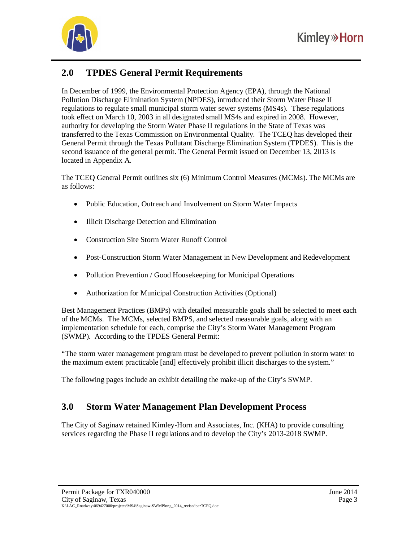

# **2.0 TPDES General Permit Requirements**

In December of 1999, the Environmental Protection Agency (EPA), through the National Pollution Discharge Elimination System (NPDES), introduced their Storm Water Phase II regulations to regulate small municipal storm water sewer systems (MS4s). These regulations took effect on March 10, 2003 in all designated small MS4s and expired in 2008. However, authority for developing the Storm Water Phase II regulations in the State of Texas was transferred to the Texas Commission on Environmental Quality. The TCEQ has developed their General Permit through the Texas Pollutant Discharge Elimination System (TPDES). This is the second issuance of the general permit. The General Permit issued on December 13, 2013 is located in Appendix A.

The TCEQ General Permit outlines six (6) Minimum Control Measures (MCMs). The MCMs are as follows:

- Public Education, Outreach and Involvement on Storm Water Impacts
- Illicit Discharge Detection and Elimination
- Construction Site Storm Water Runoff Control
- Post-Construction Storm Water Management in New Development and Redevelopment
- Pollution Prevention / Good Housekeeping for Municipal Operations
- Authorization for Municipal Construction Activities (Optional)

Best Management Practices (BMPs) with detailed measurable goals shall be selected to meet each of the MCMs. The MCMs, selected BMPS, and selected measurable goals, along with an implementation schedule for each, comprise the City's Storm Water Management Program (SWMP). According to the TPDES General Permit:

"The storm water management program must be developed to prevent pollution in storm water to the maximum extent practicable [and] effectively prohibit illicit discharges to the system."

The following pages include an exhibit detailing the make-up of the City's SWMP.

## **3.0 Storm Water Management Plan Development Process**

The City of Saginaw retained Kimley-Horn and Associates, Inc. (KHA) to provide consulting services regarding the Phase II regulations and to develop the City's 2013-2018 SWMP.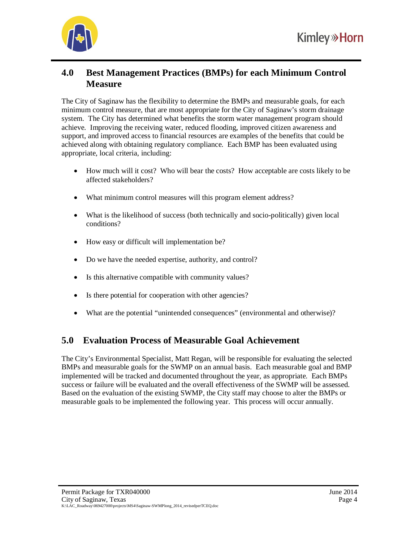

## **4.0 Best Management Practices (BMPs) for each Minimum Control Measure**

The City of Saginaw has the flexibility to determine the BMPs and measurable goals, for each minimum control measure, that are most appropriate for the City of Saginaw's storm drainage system. The City has determined what benefits the storm water management program should achieve. Improving the receiving water, reduced flooding, improved citizen awareness and support, and improved access to financial resources are examples of the benefits that could be achieved along with obtaining regulatory compliance. Each BMP has been evaluated using appropriate, local criteria, including:

- How much will it cost? Who will bear the costs? How acceptable are costs likely to be affected stakeholders?
- What minimum control measures will this program element address?
- What is the likelihood of success (both technically and socio-politically) given local conditions?
- How easy or difficult will implementation be?
- Do we have the needed expertise, authority, and control?
- Is this alternative compatible with community values?
- Is there potential for cooperation with other agencies?
- What are the potential "unintended consequences" (environmental and otherwise)?

## **5.0 Evaluation Process of Measurable Goal Achievement**

The City's Environmental Specialist, Matt Regan, will be responsible for evaluating the selected BMPs and measurable goals for the SWMP on an annual basis. Each measurable goal and BMP implemented will be tracked and documented throughout the year, as appropriate. Each BMPs success or failure will be evaluated and the overall effectiveness of the SWMP will be assessed. Based on the evaluation of the existing SWMP, the City staff may choose to alter the BMPs or measurable goals to be implemented the following year. This process will occur annually.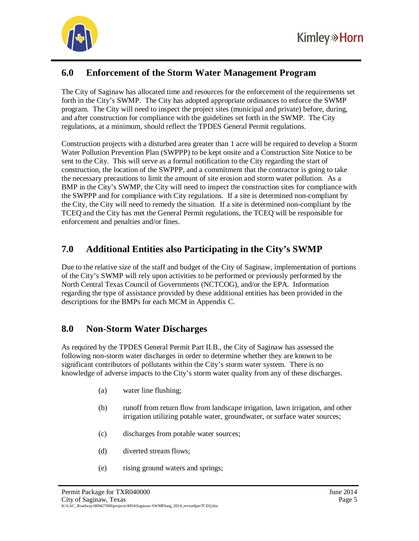

# **6.0 Enforcement of the Storm Water Management Program**

The City of Saginaw has allocated time and resources for the enforcement of the requirements set forth in the City's SWMP. The City has adopted appropriate ordinances to enforce the SWMP program. The City will need to inspect the project sites (municipal and private) before, during, and after construction for compliance with the guidelines set forth in the SWMP. The City regulations, at a minimum, should reflect the TPDES General Permit regulations.

Construction projects with a disturbed area greater than 1 acre will be required to develop a Storm Water Pollution Prevention Plan (SWPPP) to be kept onsite and a Construction Site Notice to be sent to the City. This will serve as a formal notification to the City regarding the start of construction, the location of the SWPPP, and a commitment that the contractor is going to take the necessary precautions to limit the amount of site erosion and storm water pollution. As a BMP in the City's SWMP, the City will need to inspect the construction sites for compliance with the SWPPP and for compliance with City regulations. If a site is determined non-compliant by the City, the City will need to remedy the situation. If a site is determined non-compliant by the TCEQ and the City has met the General Permit regulations, the TCEQ will be responsible for enforcement and penalties and/or fines.

# **7.0 Additional Entities also Participating in the City's SWMP**

Due to the relative size of the staff and budget of the City of Saginaw, implementation of portions of the City's SWMP will rely upon activities to be performed or previously performed by the North Central Texas Council of Governments (NCTCOG), and/or the EPA. Information regarding the type of assistance provided by these additional entities has been provided in the descriptions for the BMPs for each MCM in Appendix C.

## **8.0 Non-Storm Water Discharges**

As required by the TPDES General Permit Part II.B., the City of Saginaw has assessed the following non-storm water discharges in order to determine whether they are known to be significant contributors of pollutants within the City's storm water system. There is no knowledge of adverse impacts to the City's storm water quality from any of these discharges.

- (a) water line flushing;
- (b) runoff from return flow from landscape irrigation, lawn irrigation, and other irrigation utilizing potable water, groundwater, or surface water sources;
- (c) discharges from potable water sources;
- (d) diverted stream flows;
- (e) rising ground waters and springs;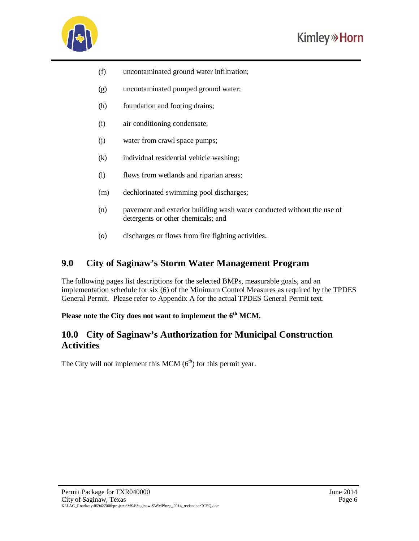

- (f) uncontaminated ground water infiltration;
- (g) uncontaminated pumped ground water;
- (h) foundation and footing drains;
- (i) air conditioning condensate;
- (j) water from crawl space pumps;
- (k) individual residential vehicle washing;
- (l) flows from wetlands and riparian areas;
- (m) dechlorinated swimming pool discharges;
- (n) pavement and exterior building wash water conducted without the use of detergents or other chemicals; and
- (o) discharges or flows from fire fighting activities.

## **9.0 City of Saginaw's Storm Water Management Program**

The following pages list descriptions for the selected BMPs, measurable goals, and an implementation schedule for six (6) of the Minimum Control Measures as required by the TPDES General Permit. Please refer to Appendix A for the actual TPDES General Permit text.

## **Please note the City does not want to implement the 6th MCM.**

## **10.0 City of Saginaw's Authorization for Municipal Construction Activities**

The City will not implement this MCM  $(6<sup>th</sup>)$  for this permit year.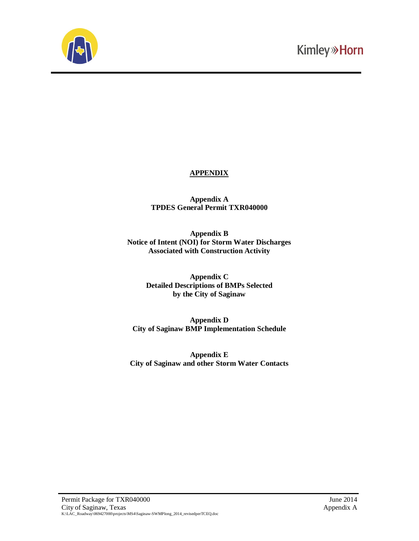

## **APPENDIX**

**Appendix A TPDES General Permit TXR040000**

**Appendix B Notice of Intent (NOI) for Storm Water Discharges Associated with Construction Activity**

> **Appendix C Detailed Descriptions of BMPs Selected by the City of Saginaw**

**Appendix D City of Saginaw BMP Implementation Schedule**

**Appendix E City of Saginaw and other Storm Water Contacts**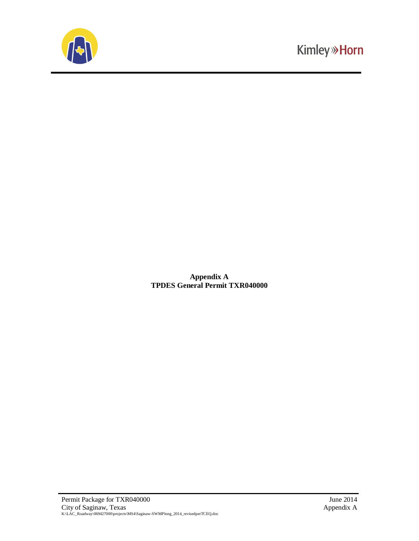

**Appendix A TPDES General Permit TXR040000**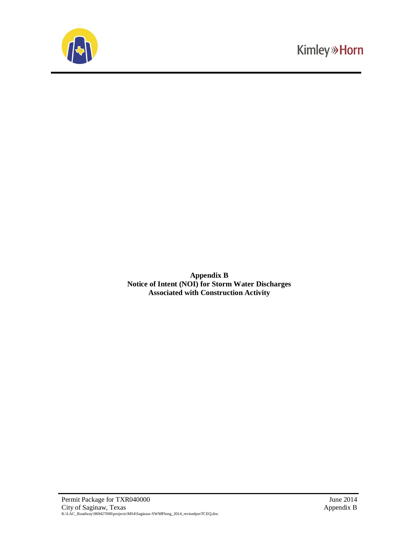

**Appendix B Notice of Intent (NOI) for Storm Water Discharges Associated with Construction Activity**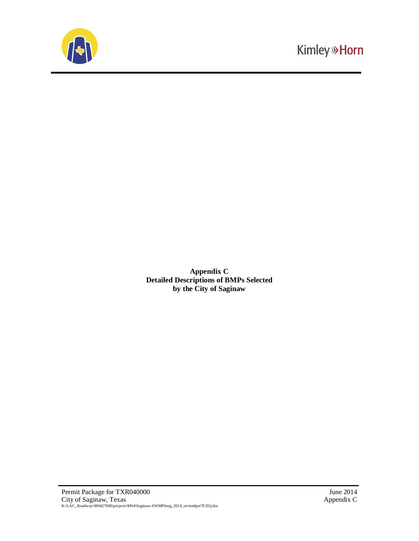

**Appendix C Detailed Descriptions of BMPs Selected by the City of Saginaw**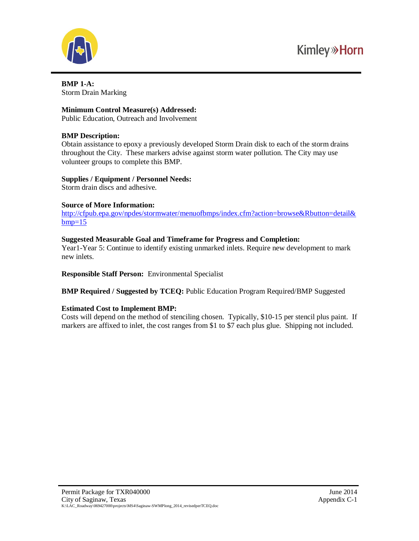

**BMP 1-A:** Storm Drain Marking

#### **Minimum Control Measure(s) Addressed:**

Public Education, Outreach and Involvement

#### **BMP Description:**

Obtain assistance to epoxy a previously developed Storm Drain disk to each of the storm drains throughout the City. These markers advise against storm water pollution. The City may use volunteer groups to complete this BMP.

## **Supplies / Equipment / Personnel Needs:**

Storm drain discs and adhesive.

#### **Source of More Information:**

<http://cfpub.epa.gov/npdes/stormwater/menuofbmps/index.cfm?action=browse&Rbutton=detail&>  $bmp=15$ 

## **Suggested Measurable Goal and Timeframe for Progress and Completion:**

Year1-Year 5: Continue to identify existing unmarked inlets. Require new development to mark new inlets.

**Responsible Staff Person:** Environmental Specialist

**BMP Required / Suggested by TCEQ:** Public Education Program Required/BMP Suggested

## **Estimated Cost to Implement BMP:**

Costs will depend on the method of stenciling chosen. Typically, \$10-15 per stencil plus paint. If markers are affixed to inlet, the cost ranges from \$1 to \$7 each plus glue. Shipping not included.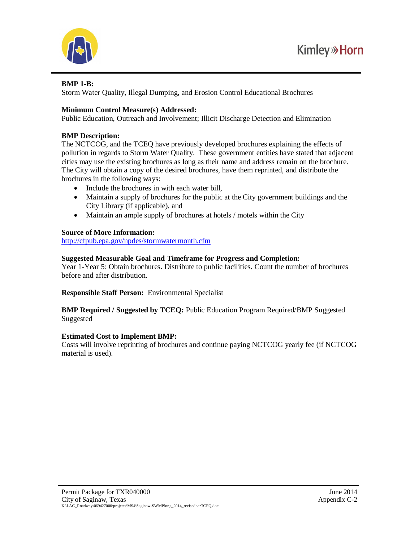



## **BMP 1-B:**

Storm Water Quality, Illegal Dumping, and Erosion Control Educational Brochures

## **Minimum Control Measure(s) Addressed:**

Public Education, Outreach and Involvement; Illicit Discharge Detection and Elimination

## **BMP Description:**

The NCTCOG, and the TCEQ have previously developed brochures explaining the effects of pollution in regards to Storm Water Quality. These government entities have stated that adjacent cities may use the existing brochures as long as their name and address remain on the brochure. The City will obtain a copy of the desired brochures, have them reprinted, and distribute the brochures in the following ways:

- Include the brochures in with each water bill,
- Maintain a supply of brochures for the public at the City government buildings and the City Library (if applicable), and
- $\bullet$  Maintain an ample supply of brochures at hotels / motels within the City

## **Source of More Information:**

<http://cfpub.epa.gov/npdes/stormwatermonth.cfm>

## **Suggested Measurable Goal and Timeframe for Progress and Completion:**

Year 1-Year 5: Obtain brochures. Distribute to public facilities. Count the number of brochures before and after distribution.

**Responsible Staff Person:** Environmental Specialist

**BMP Required / Suggested by TCEQ:** Public Education Program Required/BMP Suggested Suggested

## **Estimated Cost to Implement BMP:**

Costs will involve reprinting of brochures and continue paying NCTCOG yearly fee (if NCTCOG material is used).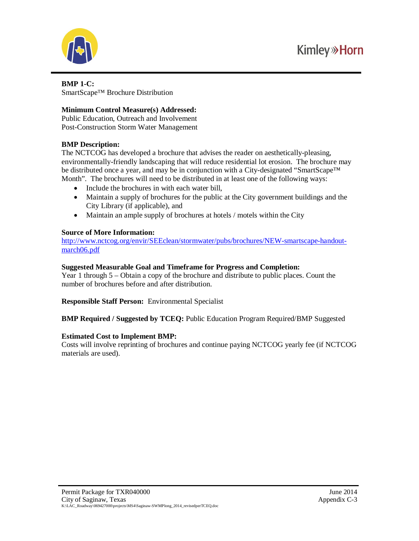

#### **BMP 1-C:** SmartScape™ Brochure Distribution

## **Minimum Control Measure(s) Addressed:**

Public Education, Outreach and Involvement Post-Construction Storm Water Management

## **BMP Description:**

The NCTCOG has developed a brochure that advises the reader on aesthetically-pleasing, environmentally-friendly landscaping that will reduce residential lot erosion. The brochure may be distributed once a year, and may be in conjunction with a City-designated "SmartScape™ Month". The brochures will need to be distributed in at least one of the following ways:

- Include the brochures in with each water bill,
- Maintain a supply of brochures for the public at the City government buildings and the City Library (if applicable), and
- $\bullet$  Maintain an ample supply of brochures at hotels / motels within the City

## **Source of More Information:**

[http://www.nctcog.org/envir/SEEclean/stormwater/pubs/brochures/NEW-smartscape-handout](http://www.nctcog.org/envir/SEEclean/stormwater/pubs/brochures/NEW-smartscape-handout-)march06.pdf

## **Suggested Measurable Goal and Timeframe for Progress and Completion:**

Year 1 through 5 – Obtain a copy of the brochure and distribute to public places. Count the number of brochures before and after distribution.

**Responsible Staff Person:** Environmental Specialist

**BMP Required / Suggested by TCEQ:** Public Education Program Required/BMP Suggested

## **Estimated Cost to Implement BMP:**

Costs will involve reprinting of brochures and continue paying NCTCOG yearly fee (if NCTCOG materials are used).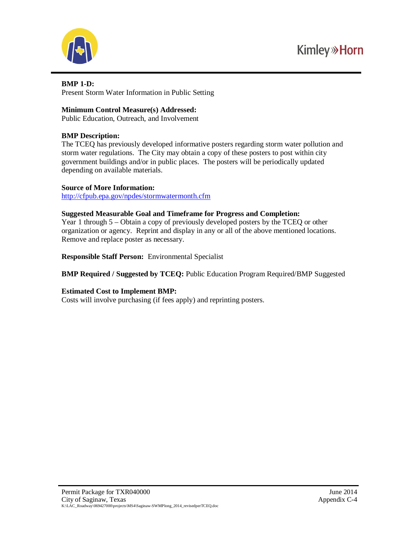

#### **BMP 1-D:**

Present Storm Water Information in Public Setting

## **Minimum Control Measure(s) Addressed:**

Public Education, Outreach, and Involvement

## **BMP Description:**

The TCEQ has previously developed informative posters regarding storm water pollution and storm water regulations. The City may obtain a copy of these posters to post within city government buildings and/or in public places. The posters will be periodically updated depending on available materials.

#### **Source of More Information:**

<http://cfpub.epa.gov/npdes/stormwatermonth.cfm>

#### **Suggested Measurable Goal and Timeframe for Progress and Completion:**

Year 1 through 5 – Obtain a copy of previously developed posters by the TCEQ or other organization or agency. Reprint and display in any or all of the above mentioned locations. Remove and replace poster as necessary.

**Responsible Staff Person:** Environmental Specialist

## **BMP Required / Suggested by TCEQ:** Public Education Program Required/BMP Suggested

## **Estimated Cost to Implement BMP:**

Costs will involve purchasing (if fees apply) and reprinting posters.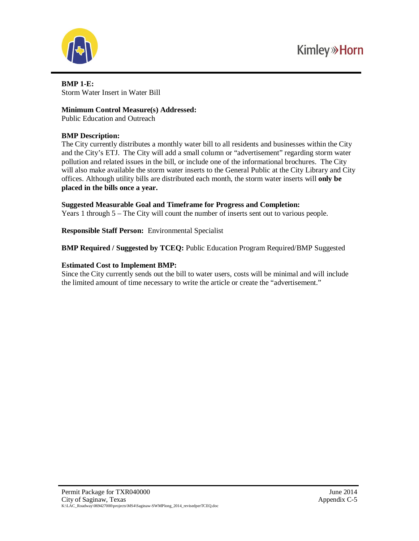

**BMP 1-E:** Storm Water Insert in Water Bill

#### **Minimum Control Measure(s) Addressed:**

Public Education and Outreach

## **BMP Description:**

The City currently distributes a monthly water bill to all residents and businesses within the City and the City's ETJ. The City will add a small column or "advertisement" regarding storm water pollution and related issues in the bill, or include one of the informational brochures. The City will also make available the storm water inserts to the General Public at the City Library and City offices. Although utility bills are distributed each month, the storm water inserts will **only be placed in the bills once a year.**

#### **Suggested Measurable Goal and Timeframe for Progress and Completion:**

Years 1 through 5 – The City will count the number of inserts sent out to various people.

**Responsible Staff Person:** Environmental Specialist

**BMP Required / Suggested by TCEQ:** Public Education Program Required/BMP Suggested

#### **Estimated Cost to Implement BMP:**

Since the City currently sends out the bill to water users, costs will be minimal and will include the limited amount of time necessary to write the article or create the "advertisement."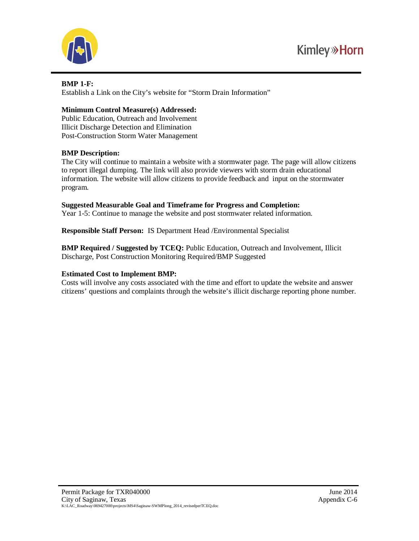

## **BMP 1-F:**

Establish a Link on the City's website for "Storm Drain Information"

## **Minimum Control Measure(s) Addressed:**

Public Education, Outreach and Involvement Illicit Discharge Detection and Elimination Post-Construction Storm Water Management

## **BMP Description:**

The City will continue to maintain a website with a stormwater page. The page will allow citizens to report illegal dumping. The link will also provide viewers with storm drain educational information. The website will allow citizens to provide feedback and input on the stormwater program.

## **Suggested Measurable Goal and Timeframe for Progress and Completion:**

Year 1-5: Continue to manage the website and post stormwater related information.

**Responsible Staff Person:** IS Department Head /Environmental Specialist

**BMP Required / Suggested by TCEQ:** Public Education, Outreach and Involvement, Illicit Discharge, Post Construction Monitoring Required/BMP Suggested

## **Estimated Cost to Implement BMP:**

Costs will involve any costs associated with the time and effort to update the website and answer citizens' questions and complaints through the website's illicit discharge reporting phone number.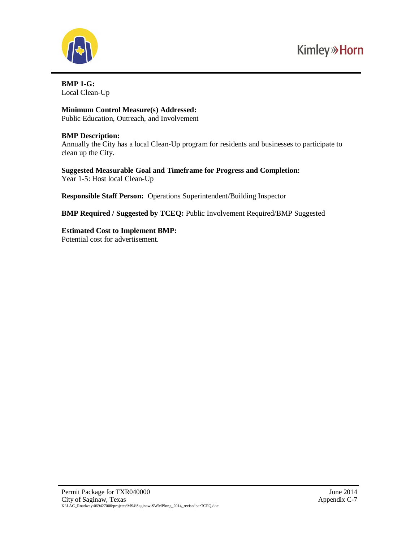

**BMP 1-G:** Local Clean-Up

**Minimum Control Measure(s) Addressed:** Public Education, Outreach, and Involvement

## **BMP Description:**

Annually the City has a local Clean-Up program for residents and businesses to participate to clean up the City.

**Suggested Measurable Goal and Timeframe for Progress and Completion:** Year 1-5: Host local Clean-Up

**Responsible Staff Person:** Operations Superintendent/Building Inspector

**BMP Required / Suggested by TCEQ:** Public Involvement Required/BMP Suggested

**Estimated Cost to Implement BMP:** Potential cost for advertisement.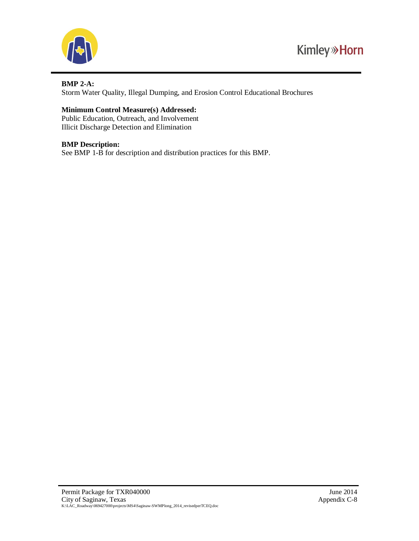

## **BMP 2-A:**

Storm Water Quality, Illegal Dumping, and Erosion Control Educational Brochures

## **Minimum Control Measure(s) Addressed:**

Public Education, Outreach, and Involvement Illicit Discharge Detection and Elimination

## **BMP Description:**

See BMP 1-B for description and distribution practices for this BMP.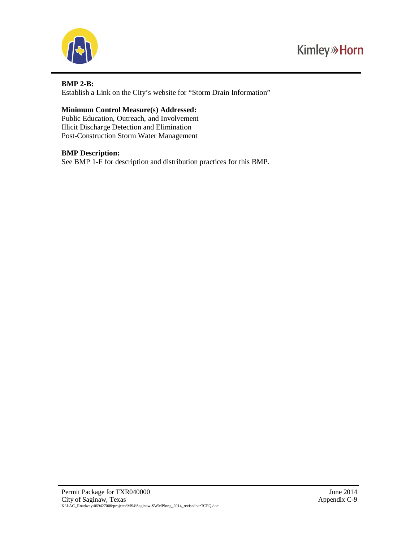

## **BMP 2-B:**

Establish a Link on the City's website for "Storm Drain Information"

## **Minimum Control Measure(s) Addressed:**

Public Education, Outreach, and Involvement Illicit Discharge Detection and Elimination Post-Construction Storm Water Management

## **BMP Description:**

See BMP 1-F for description and distribution practices for this BMP.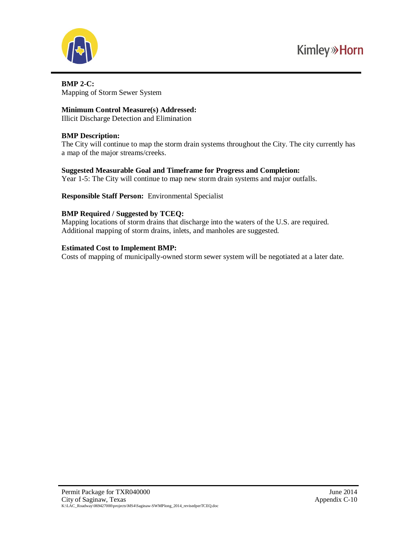

## **BMP 2-C:** Mapping of Storm Sewer System

**Minimum Control Measure(s) Addressed:**

Illicit Discharge Detection and Elimination

## **BMP Description:**

The City will continue to map the storm drain systems throughout the City. The city currently has a map of the major streams/creeks.

## **Suggested Measurable Goal and Timeframe for Progress and Completion:**

Year 1-5: The City will continue to map new storm drain systems and major outfalls.

**Responsible Staff Person:** Environmental Specialist

## **BMP Required / Suggested by TCEQ:**

Mapping locations of storm drains that discharge into the waters of the U.S. are required. Additional mapping of storm drains, inlets, and manholes are suggested.

## **Estimated Cost to Implement BMP:**

Costs of mapping of municipally-owned storm sewer system will be negotiated at a later date.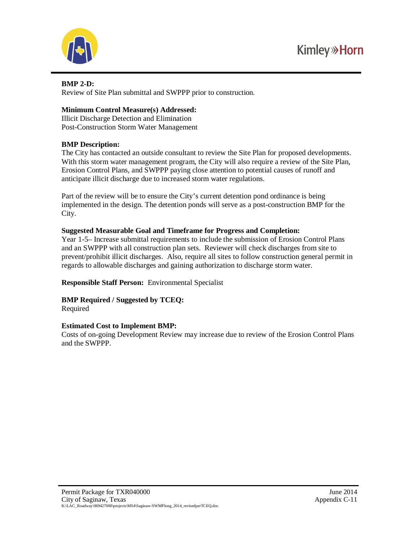



## **BMP 2-D:**

Review of Site Plan submittal and SWPPP prior to construction.

## **Minimum Control Measure(s) Addressed:**

Illicit Discharge Detection and Elimination Post-Construction Storm Water Management

## **BMP Description:**

The City has contacted an outside consultant to review the Site Plan for proposed developments. With this storm water management program, the City will also require a review of the Site Plan, Erosion Control Plans, and SWPPP paying close attention to potential causes of runoff and anticipate illicit discharge due to increased storm water regulations.

Part of the review will be to ensure the City's current detention pond ordinance is being implemented in the design. The detention ponds will serve as a post-construction BMP for the City.

## **Suggested Measurable Goal and Timeframe for Progress and Completion:**

Year 1-5– Increase submittal requirements to include the submission of Erosion Control Plans and an SWPPP with all construction plan sets. Reviewer will check discharges from site to prevent/prohibit illicit discharges. Also, require all sites to follow construction general permit in regards to allowable discharges and gaining authorization to discharge storm water.

**Responsible Staff Person:** Environmental Specialist

# **BMP Required / Suggested by TCEQ:**

Required

## **Estimated Cost to Implement BMP:**

Costs of on-going Development Review may increase due to review of the Erosion Control Plans and the SWPPP.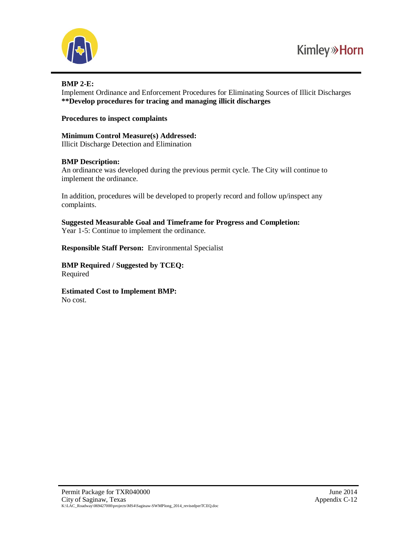

## **BMP 2-E:**

Implement Ordinance and Enforcement Procedures for Eliminating Sources of Illicit Discharges **\*\*Develop procedures for tracing and managing illicit discharges**

#### **Procedures to inspect complaints**

#### **Minimum Control Measure(s) Addressed:** Illicit Discharge Detection and Elimination

#### **BMP Description:**

An ordinance was developed during the previous permit cycle. The City will continue to implement the ordinance.

In addition, procedures will be developed to properly record and follow up/inspect any complaints.

**Suggested Measurable Goal and Timeframe for Progress and Completion:** Year 1-5: Continue to implement the ordinance.

**Responsible Staff Person:** Environmental Specialist

**BMP Required / Suggested by TCEQ:** Required

**Estimated Cost to Implement BMP:** No cost.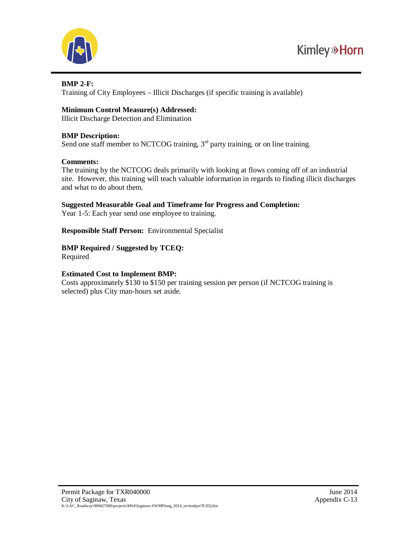

## **BMP 2-F:**

Training of City Employees – Illicit Discharges (if specific training is available)

## **Minimum Control Measure(s) Addressed:**

Illicit Discharge Detection and Elimination

## **BMP Description:**

Send one staff member to NCTCOG training,  $3<sup>rd</sup>$  party training, or on line training.

## **Comments:**

The training by the NCTCOG deals primarily with looking at flows coming off of an industrial site. However, this training will teach valuable information in regards to finding illicit discharges and what to do about them.

## **Suggested Measurable Goal and Timeframe for Progress and Completion:**

Year 1-5: Each year send one employee to training.

**Responsible Staff Person:** Environmental Specialist

## **BMP Required / Suggested by TCEQ:**

Required

## **Estimated Cost to Implement BMP:**

Costs approximately \$130 to \$150 per training session per person (if NCTCOG training is selected) plus City man-hours set aside.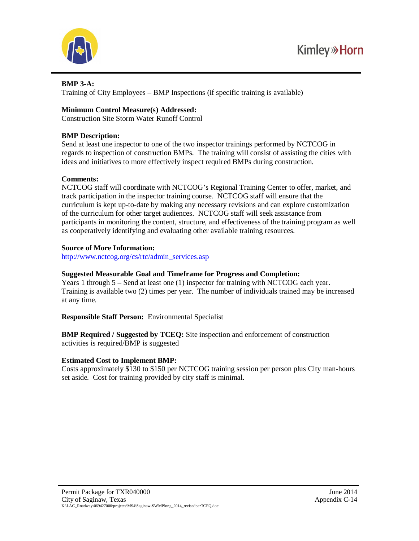

## **BMP 3-A:**

Training of City Employees – BMP Inspections (if specific training is available)

## **Minimum Control Measure(s) Addressed:**

Construction Site Storm Water Runoff Control

## **BMP Description:**

Send at least one inspector to one of the two inspector trainings performed by NCTCOG in regards to inspection of construction BMPs. The training will consist of assisting the cities with ideas and initiatives to more effectively inspect required BMPs during construction.

## **Comments:**

NCTCOG staff will coordinate with NCTCOG's Regional Training Center to offer, market, and track participation in the inspector training course. NCTCOG staff will ensure that the curriculum is kept up-to-date by making any necessary revisions and can explore customization of the curriculum for other target audiences. NCTCOG staff will seek assistance from participants in monitoring the content, structure, and effectiveness of the training program as well as cooperatively identifying and evaluating other available training resources.

## **Source of More Information:**

[http://www.nctcog.org/cs/rtc/admin\\_services.asp](http://www.nctcog.org/cs/rtc/admin_services.asp)

## **Suggested Measurable Goal and Timeframe for Progress and Completion:**

Years 1 through 5 – Send at least one (1) inspector for training with NCTCOG each year. Training is available two (2) times per year. The number of individuals trained may be increased at any time.

**Responsible Staff Person:** Environmental Specialist

**BMP Required / Suggested by TCEQ:** Site inspection and enforcement of construction activities is required/BMP is suggested

## **Estimated Cost to Implement BMP:**

Costs approximately \$130 to \$150 per NCTCOG training session per person plus City man-hours set aside. Cost for training provided by city staff is minimal.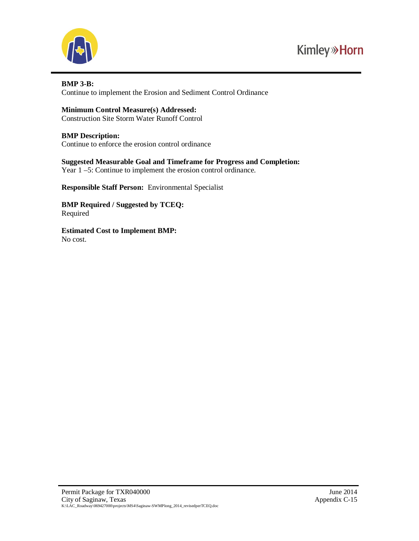

#### **BMP 3-B:**

Continue to implement the Erosion and Sediment Control Ordinance

## **Minimum Control Measure(s) Addressed:**

Construction Site Storm Water Runoff Control

## **BMP Description:**

Continue to enforce the erosion control ordinance

#### **Suggested Measurable Goal and Timeframe for Progress and Completion:** Year 1 –5: Continue to implement the erosion control ordinance.

**Responsible Staff Person:** Environmental Specialist

**BMP Required / Suggested by TCEQ:** Required

**Estimated Cost to Implement BMP:** No cost.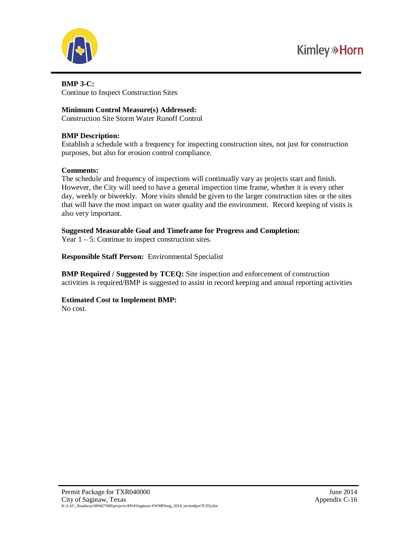

#### **BMP 3-C:** Continue to Inspect Construction Sites

## **Minimum Control Measure(s) Addressed:**

Construction Site Storm Water Runoff Control

## **BMP Description:**

Establish a schedule with a frequency for inspecting construction sites, not just for construction purposes, but also for erosion control compliance.

## **Comments:**

The schedule and frequency of inspections will continually vary as projects start and finish. However, the City will need to have a general inspection time frame, whether it is every other day, weekly or biweekly. More visits should be given to the larger construction sites or the sites that will have the most impact on water quality and the environment. Record keeping of visits is also very important.

## **Suggested Measurable Goal and Timeframe for Progress and Completion:**

Year  $1 - 5$ : Continue to inspect construction sites.

**Responsible Staff Person:** Environmental Specialist

**BMP Required / Suggested by TCEQ:** Site inspection and enforcement of construction activities is required/BMP is suggested to assist in record keeping and annual reporting activities

# **Estimated Cost to Implement BMP:**

No cost.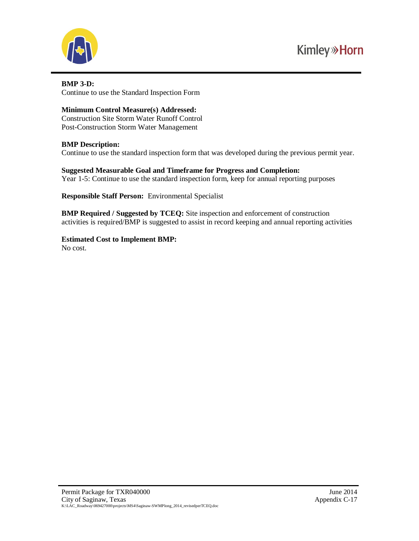

#### **BMP 3-D:** Continue to use the Standard Inspection Form

## **Minimum Control Measure(s) Addressed:**

Construction Site Storm Water Runoff Control Post-Construction Storm Water Management

## **BMP Description:**

Continue to use the standard inspection form that was developed during the previous permit year.

**Suggested Measurable Goal and Timeframe for Progress and Completion:** Year 1-5: Continue to use the standard inspection form, keep for annual reporting purposes

**Responsible Staff Person:** Environmental Specialist

**BMP Required / Suggested by TCEQ:** Site inspection and enforcement of construction activities is required/BMP is suggested to assist in record keeping and annual reporting activities

**Estimated Cost to Implement BMP:** No cost.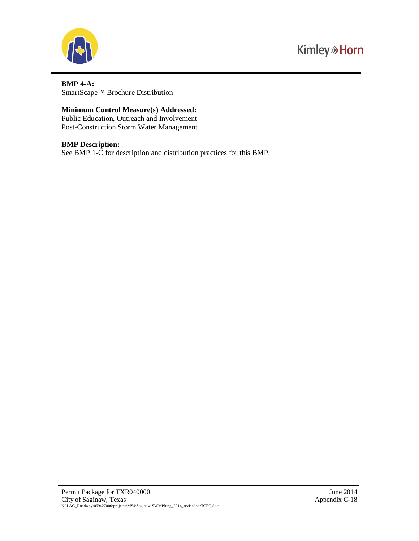

## **BMP 4-A:** SmartScape™ Brochure Distribution

## **Minimum Control Measure(s) Addressed:**

Public Education, Outreach and Involvement Post-Construction Storm Water Management

#### **BMP Description:**

See BMP 1-C for description and distribution practices for this BMP.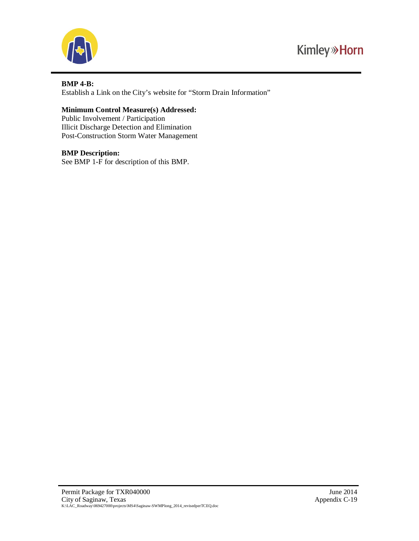



#### **BMP 4-B:**

Establish a Link on the City's website for "Storm Drain Information"

## **Minimum Control Measure(s) Addressed:**

Public Involvement / Participation Illicit Discharge Detection and Elimination Post-Construction Storm Water Management

#### **BMP Description:**

See BMP 1-F for description of this BMP.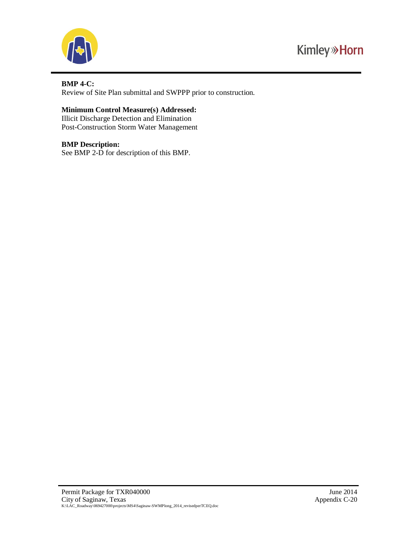



## **BMP 4-C:**

Review of Site Plan submittal and SWPPP prior to construction.

## **Minimum Control Measure(s) Addressed:**

Illicit Discharge Detection and Elimination Post-Construction Storm Water Management

#### **BMP Description:**

See BMP 2-D for description of this BMP.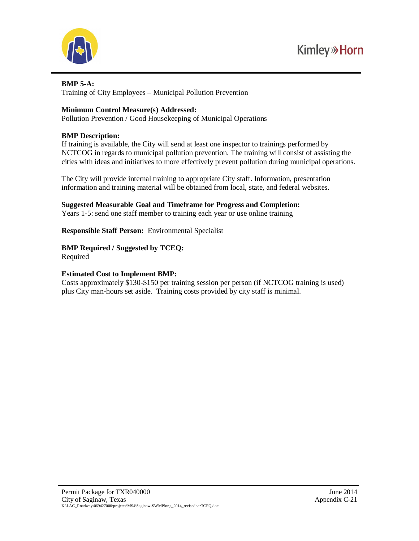



#### **BMP 5-A:**

Training of City Employees – Municipal Pollution Prevention

## **Minimum Control Measure(s) Addressed:**

Pollution Prevention / Good Housekeeping of Municipal Operations

## **BMP Description:**

If training is available, the City will send at least one inspector to trainings performed by NCTCOG in regards to municipal pollution prevention. The training will consist of assisting the cities with ideas and initiatives to more effectively prevent pollution during municipal operations.

The City will provide internal training to appropriate City staff. Information, presentation information and training material will be obtained from local, state, and federal websites.

**Suggested Measurable Goal and Timeframe for Progress and Completion:** Years 1-5: send one staff member to training each year or use online training

**Responsible Staff Person:** Environmental Specialist

**BMP Required / Suggested by TCEQ:** Required

## **Estimated Cost to Implement BMP:**

Costs approximately \$130-\$150 per training session per person (if NCTCOG training is used) plus City man-hours set aside. Training costs provided by city staff is minimal.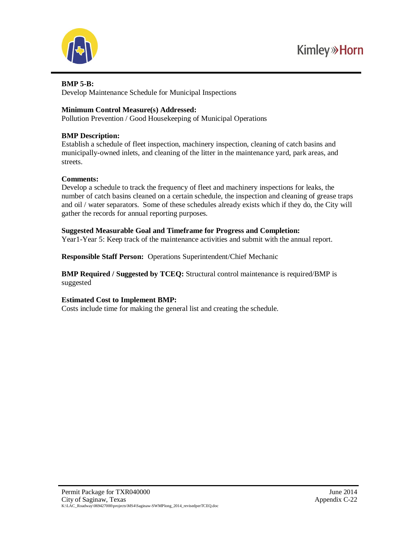



## **BMP 5-B:**

Develop Maintenance Schedule for Municipal Inspections

## **Minimum Control Measure(s) Addressed:**

Pollution Prevention / Good Housekeeping of Municipal Operations

## **BMP Description:**

Establish a schedule of fleet inspection, machinery inspection, cleaning of catch basins and municipally-owned inlets, and cleaning of the litter in the maintenance yard, park areas, and streets.

## **Comments:**

Develop a schedule to track the frequency of fleet and machinery inspections for leaks, the number of catch basins cleaned on a certain schedule, the inspection and cleaning of grease traps and oil / water separators. Some of these schedules already exists which if they do, the City will gather the records for annual reporting purposes.

## **Suggested Measurable Goal and Timeframe for Progress and Completion:**

Year1-Year 5: Keep track of the maintenance activities and submit with the annual report.

**Responsible Staff Person:** Operations Superintendent/Chief Mechanic

**BMP Required / Suggested by TCEQ:** Structural control maintenance is required/BMP is suggested

## **Estimated Cost to Implement BMP:**

Costs include time for making the general list and creating the schedule.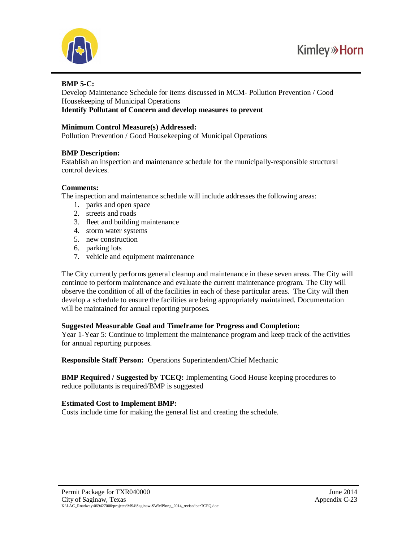

## **BMP 5-C:**

Develop Maintenance Schedule for items discussed in MCM- Pollution Prevention / Good Housekeeping of Municipal Operations

**Identify Pollutant of Concern and develop measures to prevent**

#### **Minimum Control Measure(s) Addressed:**

Pollution Prevention / Good Housekeeping of Municipal Operations

## **BMP Description:**

Establish an inspection and maintenance schedule for the municipally-responsible structural control devices.

#### **Comments:**

The inspection and maintenance schedule will include addresses the following areas:

- 1. parks and open space
- 2. streets and roads
- 3. fleet and building maintenance
- 4. storm water systems
- 5. new construction
- 6. parking lots
- 7. vehicle and equipment maintenance

The City currently performs general cleanup and maintenance in these seven areas. The City will continue to perform maintenance and evaluate the current maintenance program. The City will observe the condition of all of the facilities in each of these particular areas. The City will then develop a schedule to ensure the facilities are being appropriately maintained. Documentation will be maintained for annual reporting purposes.

## **Suggested Measurable Goal and Timeframe for Progress and Completion:**

Year 1-Year 5: Continue to implement the maintenance program and keep track of the activities for annual reporting purposes.

**Responsible Staff Person:** Operations Superintendent/Chief Mechanic

**BMP Required / Suggested by TCEQ:** Implementing Good House keeping procedures to reduce pollutants is required/BMP is suggested

## **Estimated Cost to Implement BMP:**

Costs include time for making the general list and creating the schedule.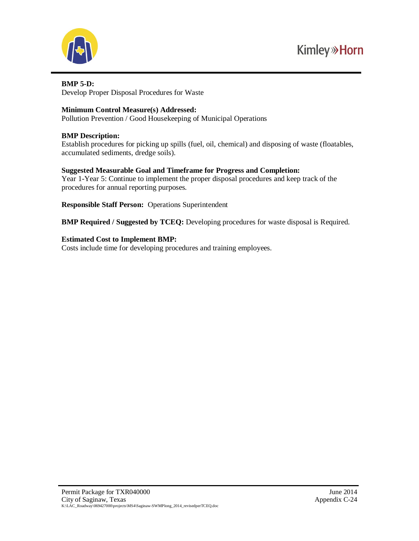

#### **BMP 5-D:**

Develop Proper Disposal Procedures for Waste

## **Minimum Control Measure(s) Addressed:**

Pollution Prevention / Good Housekeeping of Municipal Operations

## **BMP Description:**

Establish procedures for picking up spills (fuel, oil, chemical) and disposing of waste (floatables, accumulated sediments, dredge soils).

## **Suggested Measurable Goal and Timeframe for Progress and Completion:**

Year 1-Year 5: Continue to implement the proper disposal procedures and keep track of the procedures for annual reporting purposes.

**Responsible Staff Person:** Operations Superintendent

**BMP Required / Suggested by TCEQ:** Developing procedures for waste disposal is Required.

## **Estimated Cost to Implement BMP:**

Costs include time for developing procedures and training employees.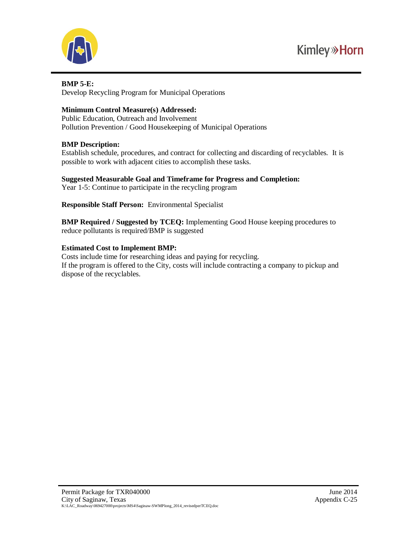



#### **BMP 5-E:**

Develop Recycling Program for Municipal Operations

## **Minimum Control Measure(s) Addressed:**

Public Education, Outreach and Involvement Pollution Prevention / Good Housekeeping of Municipal Operations

## **BMP Description:**

Establish schedule, procedures, and contract for collecting and discarding of recyclables. It is possible to work with adjacent cities to accomplish these tasks.

## **Suggested Measurable Goal and Timeframe for Progress and Completion:**

Year 1-5: Continue to participate in the recycling program

**Responsible Staff Person:** Environmental Specialist

**BMP Required / Suggested by TCEQ:** Implementing Good House keeping procedures to reduce pollutants is required/BMP is suggested

## **Estimated Cost to Implement BMP:**

Costs include time for researching ideas and paying for recycling. If the program is offered to the City, costs will include contracting a company to pickup and dispose of the recyclables.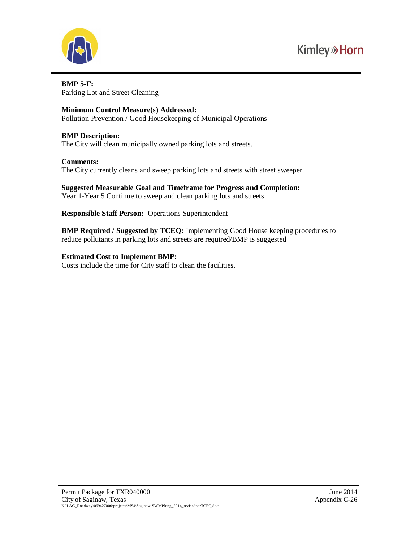



**BMP 5-F:** Parking Lot and Street Cleaning

#### **Minimum Control Measure(s) Addressed:**

Pollution Prevention / Good Housekeeping of Municipal Operations

#### **BMP Description:**

The City will clean municipally owned parking lots and streets.

#### **Comments:**

The City currently cleans and sweep parking lots and streets with street sweeper.

#### **Suggested Measurable Goal and Timeframe for Progress and Completion:** Year 1-Year 5 Continue to sweep and clean parking lots and streets

**Responsible Staff Person:** Operations Superintendent

**BMP Required / Suggested by TCEQ:** Implementing Good House keeping procedures to reduce pollutants in parking lots and streets are required/BMP is suggested

## **Estimated Cost to Implement BMP:**

Costs include the time for City staff to clean the facilities.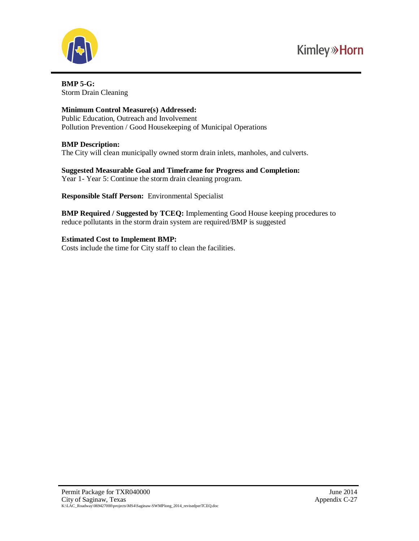

**BMP 5-G:** Storm Drain Cleaning

## **Minimum Control Measure(s) Addressed:**

Public Education, Outreach and Involvement Pollution Prevention / Good Housekeeping of Municipal Operations

## **BMP Description:**

The City will clean municipally owned storm drain inlets, manholes, and culverts.

**Suggested Measurable Goal and Timeframe for Progress and Completion:** Year 1- Year 5: Continue the storm drain cleaning program.

**Responsible Staff Person:** Environmental Specialist

**BMP Required / Suggested by TCEQ:** Implementing Good House keeping procedures to reduce pollutants in the storm drain system are required/BMP is suggested

## **Estimated Cost to Implement BMP:**

Costs include the time for City staff to clean the facilities.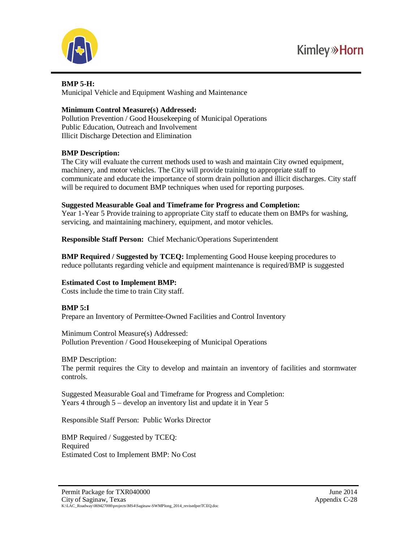



## **BMP 5-H:**

Municipal Vehicle and Equipment Washing and Maintenance

## **Minimum Control Measure(s) Addressed:**

Pollution Prevention / Good Housekeeping of Municipal Operations Public Education, Outreach and Involvement Illicit Discharge Detection and Elimination

## **BMP Description:**

The City will evaluate the current methods used to wash and maintain City owned equipment, machinery, and motor vehicles. The City will provide training to appropriate staff to communicate and educate the importance of storm drain pollution and illicit discharges. City staff will be required to document BMP techniques when used for reporting purposes.

## **Suggested Measurable Goal and Timeframe for Progress and Completion:**

Year 1-Year 5 Provide training to appropriate City staff to educate them on BMPs for washing, servicing, and maintaining machinery, equipment, and motor vehicles.

**Responsible Staff Person:** Chief Mechanic/Operations Superintendent

**BMP Required / Suggested by TCEQ:** Implementing Good House keeping procedures to reduce pollutants regarding vehicle and equipment maintenance is required/BMP is suggested

## **Estimated Cost to Implement BMP:**

Costs include the time to train City staff.

## **BMP 5:I**

Prepare an Inventory of Permittee-Owned Facilities and Control Inventory

Minimum Control Measure(s) Addressed: Pollution Prevention / Good Housekeeping of Municipal Operations

## BMP Description:

The permit requires the City to develop and maintain an inventory of facilities and stormwater controls.

Suggested Measurable Goal and Timeframe for Progress and Completion: Years 4 through 5 – develop an inventory list and update it in Year 5

Responsible Staff Person: Public Works Director

BMP Required / Suggested by TCEQ: Required Estimated Cost to Implement BMP: No Cost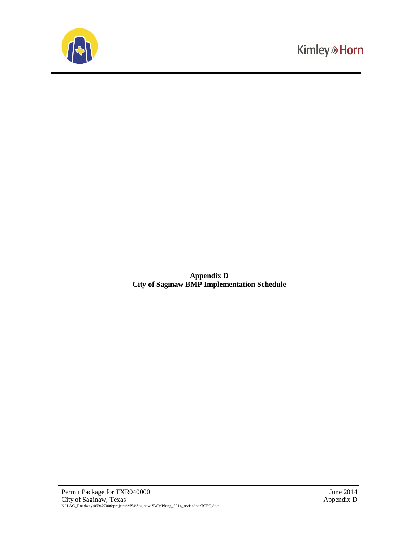

**Appendix D City of Saginaw BMP Implementation Schedule**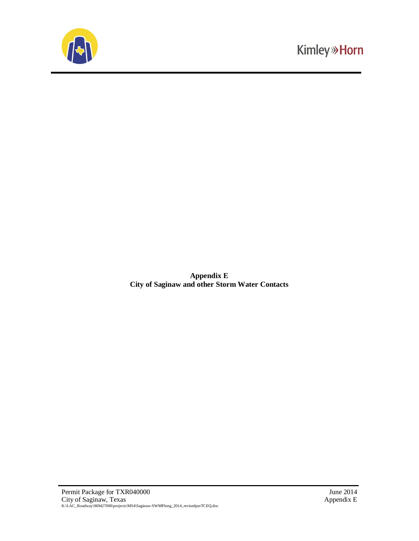

**Appendix E City of Saginaw and other Storm Water Contacts**